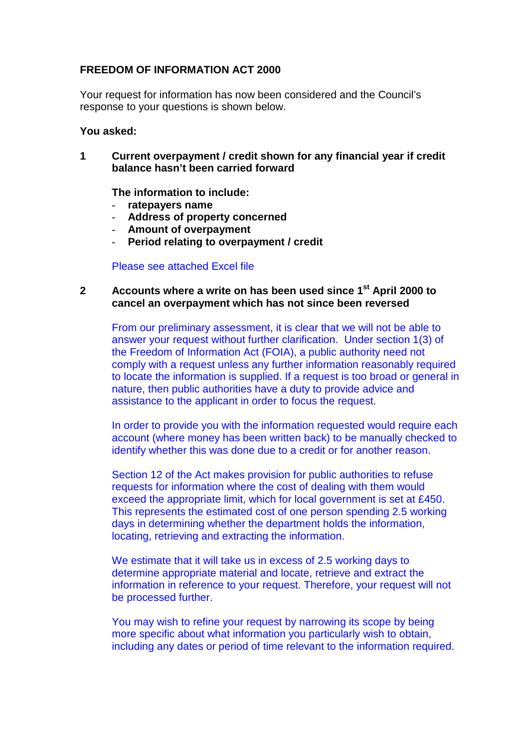## **FREEDOM OF INFORMATION ACT 2000**

Your request for information has now been considered and the Council's response to your questions is shown below.

## **You asked:**

**1 Current overpayment / credit shown for any financial year if credit balance hasn't been carried forward**

**The information to include:**

- **ratepayers name**
- **Address of property concerned**
- **Amount of overpayment**
- **Period relating to overpayment / credit**

Please see attached Excel file

## **2 Accounts where a write on has been used since 1st April 2000 to cancel an overpayment which has not since been reversed**

From our preliminary assessment, it is clear that we will not be able to answer your request without further clarification. Under section 1(3) of the Freedom of Information Act (FOIA), a public authority need not comply with a request unless any further information reasonably required to locate the information is supplied. If a request is too broad or general in nature, then public authorities have a duty to provide advice and assistance to the applicant in order to focus the request.

In order to provide you with the information requested would require each account (where money has been written back) to be manually checked to identify whether this was done due to a credit or for another reason.

Section 12 of the Act makes provision for public authorities to refuse requests for information where the cost of dealing with them would exceed the appropriate limit, which for local government is set at £450. This represents the estimated cost of one person spending 2.5 working days in determining whether the department holds the information, locating, retrieving and extracting the information.

We estimate that it will take us in excess of 2.5 working days to determine appropriate material and locate, retrieve and extract the information in reference to your request. Therefore, your request will not be processed further.

You may wish to refine your request by narrowing its scope by being more specific about what information you particularly wish to obtain, including any dates or period of time relevant to the information required.